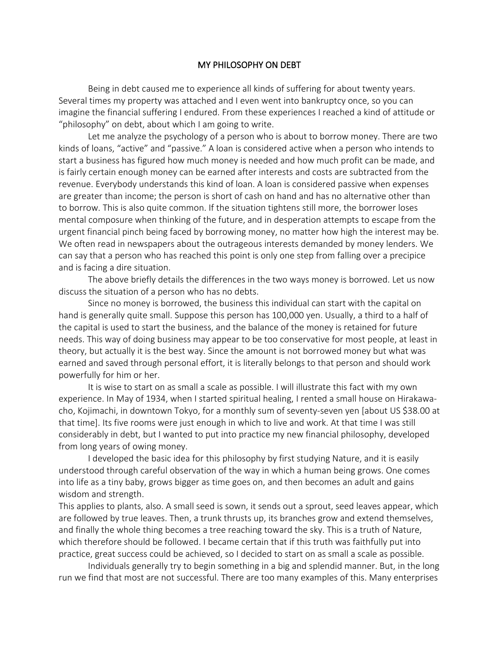## MY PHILOSOPHY ON DEBT

Being in debt caused me to experience all kinds of suffering for about twenty years. Several times my property was attached and I even went into bankruptcy once, so you can imagine the financial suffering I endured. From these experiences I reached a kind of attitude or "philosophy" on debt, about which I am going to write.

Let me analyze the psychology of a person who is about to borrow money. There are two kinds of loans, "active" and "passive." A loan is considered active when a person who intends to start a business has figured how much money is needed and how much profit can be made, and is fairly certain enough money can be earned after interests and costs are subtracted from the revenue. Everybody understands this kind of loan. A loan is considered passive when expenses are greater than income; the person is short of cash on hand and has no alternative other than to borrow. This is also quite common. If the situation tightens still more, the borrower loses mental composure when thinking of the future, and in desperation attempts to escape from the urgent financial pinch being faced by borrowing money, no matter how high the interest may be. We often read in newspapers about the outrageous interests demanded by money lenders. We can say that a person who has reached this point is only one step from falling over a precipice and is facing a dire situation.

The above briefly details the differences in the two ways money is borrowed. Let us now discuss the situation of a person who has no debts.

Since no money is borrowed, the business this individual can start with the capital on hand is generally quite small. Suppose this person has 100,000 yen. Usually, a third to a half of the capital is used to start the business, and the balance of the money is retained for future needs. This way of doing business may appear to be too conservative for most people, at least in theory, but actually it is the best way. Since the amount is not borrowed money but what was earned and saved through personal effort, it is literally belongs to that person and should work powerfully for him or her.

It is wise to start on as small a scale as possible. I will illustrate this fact with my own experience. In May of 1934, when I started spiritual healing, I rented a small house on Hirakawacho, Kojimachi, in downtown Tokyo, for a monthly sum of seventy-seven yen [about US \$38.00 at that time]. Its five rooms were just enough in which to live and work. At that time I was still considerably in debt, but I wanted to put into practice my new financial philosophy, developed from long years of owing money.

I developed the basic idea for this philosophy by first studying Nature, and it is easily understood through careful observation of the way in which a human being grows. One comes into life as a tiny baby, grows bigger as time goes on, and then becomes an adult and gains wisdom and strength.

This applies to plants, also. A small seed is sown, it sends out a sprout, seed leaves appear, which are followed by true leaves. Then, a trunk thrusts up, its branches grow and extend themselves, and finally the whole thing becomes a tree reaching toward the sky. This is a truth of Nature, which therefore should be followed. I became certain that if this truth was faithfully put into practice, great success could be achieved, so I decided to start on as small a scale as possible.

Individuals generally try to begin something in a big and splendid manner. But, in the long run we find that most are not successful. There are too many examples of this. Many enterprises